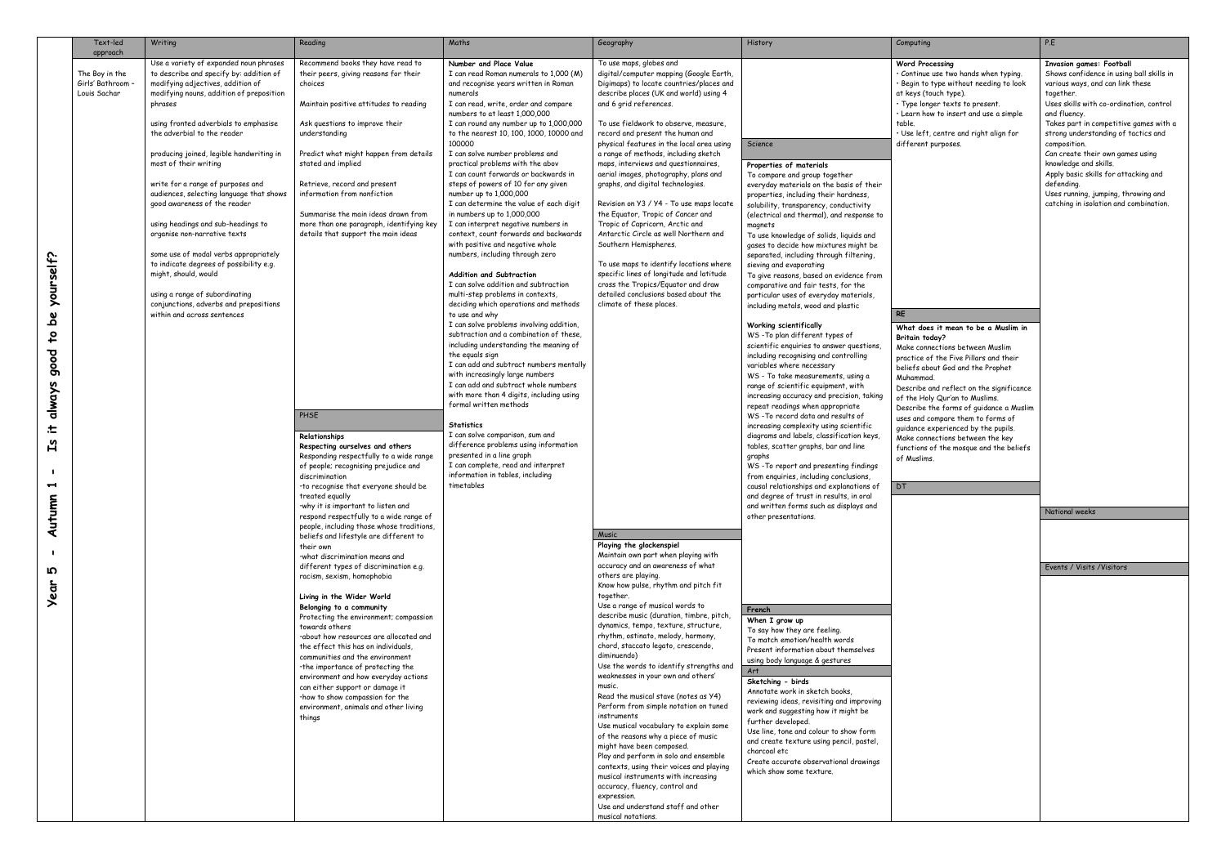|                                                                                                                   | Text-led<br>approach                              | Writing                                                                                                                                                                                                                                                                                                                                                                                                                                                                                                                                                                                                                                                                                                                                  | Reading                                                                                                                                                                                                                                                                                                                                                                                                                                                                                                                                                                                                                                                                                                                                                                                                                                                                                                                                                                                                                                                                                                                                                                                                                                                                                                                                                                                                              | Maths                                                                                                                                                                                                                                                                                                                                                                                                                                                                                                                                                                                                                                                                                                                                                                                                                                                                                                                                                                                                                                                                                                                                                                                                                                                                                                                                                                                                                                                        | Geography                                                                                                                                                                                                                                                                                                                                                                                                                                                                                                                                                                                                                                                                                                                                                                                                                                                                                                                                                                                                                                                                                                                                                                                                                                                                                                                                                                                                                                                                                                                                                                                                                                                                                                                                                                                                                          | History                                                                                                                                                                                                                                                                                                                                                                                                                                                                                                                                                                                                                                                                                                                                                                                                                                                                                                                                                                                                                                                                                                                                                                                                                                                                                                                                                                                                                                                                                                                                                                                                                                                                                                                                                                                                                                                                               | Computing                                                                                                                                                                                                                                                                                                                                                                                                                                                                                                                                                                                                                                                                                                                                                                                                        | P.E                                                                                                                                                                                                                                                                                                                                                                                                                                                                                                                                          |
|-------------------------------------------------------------------------------------------------------------------|---------------------------------------------------|------------------------------------------------------------------------------------------------------------------------------------------------------------------------------------------------------------------------------------------------------------------------------------------------------------------------------------------------------------------------------------------------------------------------------------------------------------------------------------------------------------------------------------------------------------------------------------------------------------------------------------------------------------------------------------------------------------------------------------------|----------------------------------------------------------------------------------------------------------------------------------------------------------------------------------------------------------------------------------------------------------------------------------------------------------------------------------------------------------------------------------------------------------------------------------------------------------------------------------------------------------------------------------------------------------------------------------------------------------------------------------------------------------------------------------------------------------------------------------------------------------------------------------------------------------------------------------------------------------------------------------------------------------------------------------------------------------------------------------------------------------------------------------------------------------------------------------------------------------------------------------------------------------------------------------------------------------------------------------------------------------------------------------------------------------------------------------------------------------------------------------------------------------------------|--------------------------------------------------------------------------------------------------------------------------------------------------------------------------------------------------------------------------------------------------------------------------------------------------------------------------------------------------------------------------------------------------------------------------------------------------------------------------------------------------------------------------------------------------------------------------------------------------------------------------------------------------------------------------------------------------------------------------------------------------------------------------------------------------------------------------------------------------------------------------------------------------------------------------------------------------------------------------------------------------------------------------------------------------------------------------------------------------------------------------------------------------------------------------------------------------------------------------------------------------------------------------------------------------------------------------------------------------------------------------------------------------------------------------------------------------------------|------------------------------------------------------------------------------------------------------------------------------------------------------------------------------------------------------------------------------------------------------------------------------------------------------------------------------------------------------------------------------------------------------------------------------------------------------------------------------------------------------------------------------------------------------------------------------------------------------------------------------------------------------------------------------------------------------------------------------------------------------------------------------------------------------------------------------------------------------------------------------------------------------------------------------------------------------------------------------------------------------------------------------------------------------------------------------------------------------------------------------------------------------------------------------------------------------------------------------------------------------------------------------------------------------------------------------------------------------------------------------------------------------------------------------------------------------------------------------------------------------------------------------------------------------------------------------------------------------------------------------------------------------------------------------------------------------------------------------------------------------------------------------------------------------------------------------------|---------------------------------------------------------------------------------------------------------------------------------------------------------------------------------------------------------------------------------------------------------------------------------------------------------------------------------------------------------------------------------------------------------------------------------------------------------------------------------------------------------------------------------------------------------------------------------------------------------------------------------------------------------------------------------------------------------------------------------------------------------------------------------------------------------------------------------------------------------------------------------------------------------------------------------------------------------------------------------------------------------------------------------------------------------------------------------------------------------------------------------------------------------------------------------------------------------------------------------------------------------------------------------------------------------------------------------------------------------------------------------------------------------------------------------------------------------------------------------------------------------------------------------------------------------------------------------------------------------------------------------------------------------------------------------------------------------------------------------------------------------------------------------------------------------------------------------------------------------------------------------------|------------------------------------------------------------------------------------------------------------------------------------------------------------------------------------------------------------------------------------------------------------------------------------------------------------------------------------------------------------------------------------------------------------------------------------------------------------------------------------------------------------------------------------------------------------------------------------------------------------------------------------------------------------------------------------------------------------------------------------------------------------------------------------------------------------------|----------------------------------------------------------------------------------------------------------------------------------------------------------------------------------------------------------------------------------------------------------------------------------------------------------------------------------------------------------------------------------------------------------------------------------------------------------------------------------------------------------------------------------------------|
| ∩.<br>yourself<br>ه<br>$\mathbf{c}$<br>pood<br>always<br>士<br>႕<br>1<br>Autumn<br>$\mathbf{I}$<br><u>က</u><br>ear | The Boy in the<br>Girls' Bathroom<br>Louis Sachar | Use a variety of expanded noun phrases<br>to describe and specify by: addition of<br>modifying adjectives, addition of<br>modifying nouns, addition of preposition<br>phrases<br>using fronted adverbials to emphasise<br>the adverbial to the reader<br>producing joined, legible handwriting in<br>most of their writing<br>write for a range of purposes and<br>audiences, selecting language that shows<br>good awareness of the reader<br>using headings and sub-headings to<br>organise non-narrative texts<br>some use of modal verbs appropriately<br>to indicate degrees of possibility e.g.<br>might, should, would<br>using a range of subordinating<br>conjunctions, adverbs and prepositions<br>within and across sentences | Recommend books they have read to<br>their peers, giving reasons for their<br>choices<br>Maintain positive attitudes to reading<br>Ask questions to improve their<br>understanding<br>Predict what might happen from details<br>stated and implied<br>Retrieve, record and present<br>information from nonfiction<br>Summarise the main ideas drawn from<br>more than one paragraph, identifying key<br>details that support the main ideas<br>PHSE<br>Relationships<br>Respecting ourselves and others<br>Responding respectfully to a wide range<br>of people; recognising prejudice and<br>discrimination<br>to recognise that everyone should be<br>reated equally:<br>.why it is important to listen and<br>respond respectfully to a wide range of<br>people, including those whose traditions,<br>beliefs and lifestyle are different to<br>their own<br>·what discrimination means and<br>different types of discrimination e.g.<br>racism, sexism, homophobia<br>Living in the Wider World<br>Belonging to a community<br>Protecting the environment; compassion<br>towards others<br>.about how resources are allocated and<br>the effect this has on individuals.<br>communities and the environment<br>the importance of protecting the<br>environment and how everyday actions<br>can either support or damage it<br>·how to show compassion for the<br>environment, animals and other living<br>things | Number and Place Value<br>I can read Roman numerals to 1,000 (M)<br>and recognise years written in Roman<br>numerals<br>I can read, write, order and compare<br>numbers to at least 1,000,000<br>I can round any number up to 1,000,000<br>to the nearest 10, 100, 1000, 10000 and<br>100000<br>I can solve number problems and<br>practical problems with the abov<br>I can count forwards or backwards in<br>steps of powers of 10 for any given<br>number up to 1,000,000<br>I can determine the value of each digit<br>in numbers up to 1,000,000<br>I can interpret negative numbers in<br>context, count forwards and backwards<br>with positive and negative whole<br>numbers, including through zero<br><b>Addition and Subtraction</b><br>I can solve addition and subtraction<br>multi-step problems in contexts,<br>deciding which operations and methods<br>to use and why<br>I can solve problems involving addition,<br>subtraction and a combination of these,<br>including understanding the meaning of<br>the equals sign<br>I can add and subtract numbers mentally<br>with increasingly large numbers<br>I can add and subtract whole numbers<br>with more than 4 digits, including using<br>formal written methods<br><b>Statistics</b><br>I can solve comparison, sum and<br>difference problems using information<br>presented in a line graph<br>I can complete, read and interpret<br>information in tables, including<br>timetables | To use maps, globes and<br>digital/computer mapping (Google Earth,<br>Digimaps) to locate countries/places and<br>describe places (UK and world) using 4<br>and 6 grid references.<br>To use fieldwork to observe, measure,<br>record and present the human and<br>physical features in the local area using<br>a range of methods, including sketch<br>maps, interviews and questionnaires,<br>aerial images, photography, plans and<br>graphs, and digital technologies.<br>Revision on Y3 / Y4 - To use maps locate<br>the Equator, Tropic of Cancer and<br>Tropic of Capricorn, Arctic and<br>Antarctic Circle as well Northern and<br>Southern Hemispheres.<br>To use maps to identify locations where<br>specific lines of longitude and latitude<br>cross the Tropics/Equator and draw<br>detailed conclusions based about the<br>climate of these places.<br>Music<br>Playing the glockenspiel<br>Maintain own part when playing with<br>accuracy and an awareness of what<br>others are playing.<br>Know how pulse, rhythm and pitch fit<br>together.<br>Use a range of musical words to<br>describe music (duration, timbre, pitch,<br>dynamics, tempo, texture, structure,<br>rhythm, ostinato, melody, harmony,<br>chord, staccato legato, crescendo,<br>diminuendo)<br>Use the words to identify strengths and<br>weaknesses in your own and others'<br>music.<br>Read the musical stave (notes as Y4)<br>Perform from simple notation on tuned<br>instruments<br>Use musical vocabulary to explain some<br>of the reasons why a piece of music<br>might have been composed.<br>Play and perform in solo and ensemble<br>contexts, using their voices and playing<br>musical instruments with increasing<br>accuracy, fluency, control and<br>expression.<br>Use and understand staff and other<br>musical notations. | Science<br>Properties of materials<br>To compare and group together<br>everyday materials on the basis of their<br>properties, including their hardness,<br>solubility, transparency, conductivity<br>(electrical and thermal), and response to<br>magnets<br>To use knowledge of solids, liquids and<br>gases to decide how mixtures might be<br>separated, including through filtering,<br>sieving and evaporating<br>To give reasons, based on evidence from<br>comparative and fair tests, for the<br>particular uses of everyday materials,<br>including metals, wood and plastic<br>Working scientifically<br>WS-To plan different types of<br>scientific enquiries to answer questions,<br>including recognising and controlling<br>variables where necessary<br>WS - To take measurements, using a<br>range of scientific equipment, with<br>increasing accuracy and precision, taking<br>repeat readings when appropriate<br>WS-To record data and results of<br>increasing complexity using scientific<br>diagrams and labels, classification keys,<br>tables, scatter graphs, bar and line<br>graphs<br>WS-To report and presenting findings<br>from enquiries, including conclusions,<br>causal relationships and explanations of<br>and degree of trust in results, in oral<br>and written forms such as displays and<br>other presentations.<br>French<br>When I grow up<br>To say how they are feeling.<br>To match emotion/health words<br>Present information about themselves<br>using body language & gestures<br>Art<br>Sketching - birds<br>Annotate work in sketch books,<br>reviewing ideas, revisiting and improving<br>work and suggesting how it might be<br>further developed.<br>Use line, tone and colour to show form<br>and create texture using pencil, pastel,<br>charcoal etc<br>Create accurate observational drawings<br>which show some texture. | <b>Word Processing</b><br>· Continue use two hands when typing.<br>· Begin to type without needing to look<br>at keys (touch type).<br>· Type longer texts to present.<br>· Learn how to insert and use a simple<br>table.<br>· Use left, centre and right align for<br>different purposes.<br><b>RE</b><br>What does it mean to be a Muslim in<br><b>Britain today?</b><br>Make connections between Muslim<br>practice of the Five Pillars and their<br>beliefs about God and the Prophet<br>Muhammad.<br>Describe and reflect on the significance<br>of the Holy Qur'an to Muslims.<br>Describe the forms of guidance a Muslim<br>uses and compare them to forms of<br>guidance experienced by the pupils.<br>Make connections between the key<br>functions of the mosque and the beliefs<br>of Muslims.<br>DT | <b>Invasion games: Football</b><br>Shows confidence in using ball skills in<br>various ways, and can link these<br>together.<br>Uses skills with co-ordination, control<br>and fluency.<br>Takes part in competitive games with a<br>strong understanding of tactics and<br>composition.<br>Can create their own games using<br>knowledge and skills.<br>Apply basic skills for attacking and<br>defending.<br>Uses running, jumping, throwing and<br>catching in isolation and combination.<br>National weeks<br>Events / Visits / Visitors |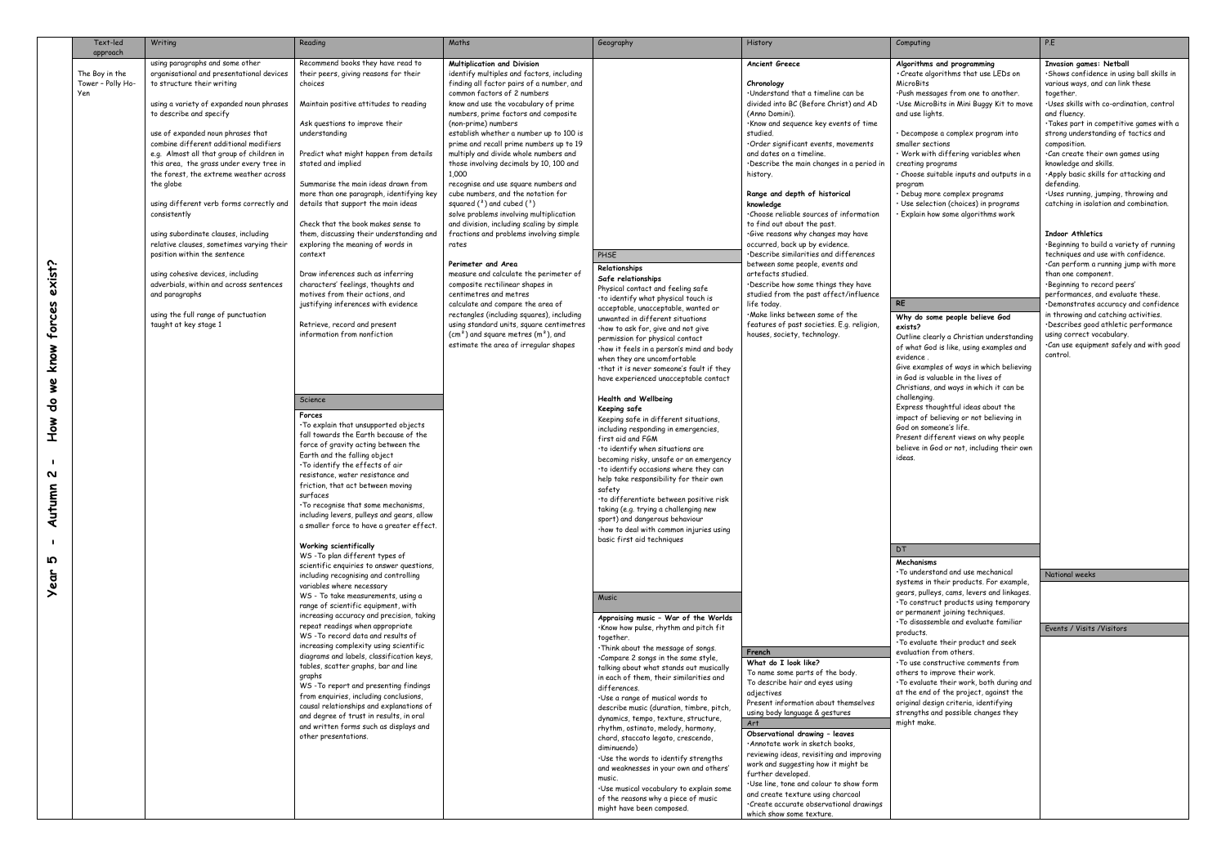|                                                                           | Text-led                                               | Writing                                                                                                                                                                                                                                                                                                                                                                                                                                                                                                                                                                                                                                                                                                                                                             | Reading                                                                                                                                                                                                                                                                                                                                                                                                                                                                                                                                                                                                                                                                                                                                                                                                                                                                                                                                                                                                                                                                                                                                                                                                                                 | Maths                                                                                                                                                                                                                                                                                                                                                                                                                                                                                                                                                                                                                                                                                                                                                                                                                                                                                                                                                                                                                                                            | Geography                                                                                                                                                                                                                                                                                                                                                                                                                                                                                                                                                                                                                                                                                                                                                                                                                                                                                                                                                               | History                                                                                                                                                                                                                                                                                                                                                                                                                                                                                                                                                                                                                                                                                                                                                                                                                                      | Computing                                                                                                                                                                                                                                                                                                                                                                                                                                                                                                                                                                                                                                                                                                                                                                                                                                                                                                                                                                                                                        | P.E                                                                                                                                                                                                                                                                                                                                                                                                                                                                                                                                                                                                                                                                                                                                                                                                                                                                                                                                                              |
|---------------------------------------------------------------------------|--------------------------------------------------------|---------------------------------------------------------------------------------------------------------------------------------------------------------------------------------------------------------------------------------------------------------------------------------------------------------------------------------------------------------------------------------------------------------------------------------------------------------------------------------------------------------------------------------------------------------------------------------------------------------------------------------------------------------------------------------------------------------------------------------------------------------------------|-----------------------------------------------------------------------------------------------------------------------------------------------------------------------------------------------------------------------------------------------------------------------------------------------------------------------------------------------------------------------------------------------------------------------------------------------------------------------------------------------------------------------------------------------------------------------------------------------------------------------------------------------------------------------------------------------------------------------------------------------------------------------------------------------------------------------------------------------------------------------------------------------------------------------------------------------------------------------------------------------------------------------------------------------------------------------------------------------------------------------------------------------------------------------------------------------------------------------------------------|------------------------------------------------------------------------------------------------------------------------------------------------------------------------------------------------------------------------------------------------------------------------------------------------------------------------------------------------------------------------------------------------------------------------------------------------------------------------------------------------------------------------------------------------------------------------------------------------------------------------------------------------------------------------------------------------------------------------------------------------------------------------------------------------------------------------------------------------------------------------------------------------------------------------------------------------------------------------------------------------------------------------------------------------------------------|-------------------------------------------------------------------------------------------------------------------------------------------------------------------------------------------------------------------------------------------------------------------------------------------------------------------------------------------------------------------------------------------------------------------------------------------------------------------------------------------------------------------------------------------------------------------------------------------------------------------------------------------------------------------------------------------------------------------------------------------------------------------------------------------------------------------------------------------------------------------------------------------------------------------------------------------------------------------------|----------------------------------------------------------------------------------------------------------------------------------------------------------------------------------------------------------------------------------------------------------------------------------------------------------------------------------------------------------------------------------------------------------------------------------------------------------------------------------------------------------------------------------------------------------------------------------------------------------------------------------------------------------------------------------------------------------------------------------------------------------------------------------------------------------------------------------------------|----------------------------------------------------------------------------------------------------------------------------------------------------------------------------------------------------------------------------------------------------------------------------------------------------------------------------------------------------------------------------------------------------------------------------------------------------------------------------------------------------------------------------------------------------------------------------------------------------------------------------------------------------------------------------------------------------------------------------------------------------------------------------------------------------------------------------------------------------------------------------------------------------------------------------------------------------------------------------------------------------------------------------------|------------------------------------------------------------------------------------------------------------------------------------------------------------------------------------------------------------------------------------------------------------------------------------------------------------------------------------------------------------------------------------------------------------------------------------------------------------------------------------------------------------------------------------------------------------------------------------------------------------------------------------------------------------------------------------------------------------------------------------------------------------------------------------------------------------------------------------------------------------------------------------------------------------------------------------------------------------------|
| exist<br>forces<br>know<br>we<br>유<br>¥<br>P<br>T<br>N<br>Ξ<br>Autum<br>ഗ | approach<br>The Boy in the<br>Tower - Polly Ho-<br>Yen | using paragraphs and some other<br>organisational and presentational devices<br>to structure their writing<br>using a variety of expanded noun phrases<br>to describe and specify<br>use of expanded noun phrases that<br>combine different additional modifiers<br>e.g. Almost all that group of children in<br>this area, the grass under every tree in<br>the forest, the extreme weather across<br>the globe<br>using different verb forms correctly and<br>consistently<br>using subordinate clauses, including<br>relative clauses, sometimes varying their<br>position within the sentence<br>using cohesive devices, including<br>adverbials, within and across sentences<br>and paragraphs<br>using the full range of punctuation<br>taught at key stage 1 | Recommend books they have read to<br>their peers, giving reasons for their<br>choices<br>Maintain positive attitudes to reading<br>Ask questions to improve their<br>understanding<br>Predict what might happen from details<br>stated and implied<br>Summarise the main ideas drawn from<br>more than one paragraph, identifying key<br>details that support the main ideas<br>Check that the book makes sense to<br>them, discussing their understanding and<br>exploring the meaning of words in<br>context<br>Draw inferences such as inferring<br>characters' feelings, thoughts and<br>motives from their actions, and<br>justifying inferences with evidence<br>Retrieve, record and present<br>information from nonfiction<br>Science<br>Forces<br>. To explain that unsupported objects<br>fall towards the Earth because of the<br>force of gravity acting between the<br>Earth and the falling object<br>. To identify the effects of air<br>resistance, water resistance and<br>friction, that act between moving<br>surfaces<br>. To recognise that some mechanisms,<br>including levers, pulleys and gears, allow<br>a smaller force to have a greater effect.<br>Working scientifically<br>WS-To plan different types of | <b>Multiplication and Division</b><br>identify multiples and factors, including<br>finding all factor pairs of a number, and<br>common factors of 2 numbers<br>know and use the vocabulary of prime<br>numbers, prime factors and composite<br>(non-prime) numbers<br>establish whether a number up to 100 is<br>prime and recall prime numbers up to 19<br>multiply and divide whole numbers and<br>those involving decimals by 10, 100 and<br>1,000<br>recognise and use square numbers and<br>cube numbers, and the notation for<br>squared $(^2)$ and cubed $(^3)$<br>solve problems involving multiplication<br>and division, including scaling by simple<br>fractions and problems involving simple<br>rates<br>Perimeter and Area<br>measure and calculate the perimeter of<br>composite rectilinear shapes in<br>centimetres and metres<br>calculate and compare the area of<br>rectangles (including squares), including<br>using standard units, square centimetres<br>$(cm2)$ and square metres $(m2)$ , and<br>estimate the area of irregular shapes | PHSE<br>Relationships<br>Safe relationships<br>Physical contact and feeling safe<br>. to identify what physical touch is<br>acceptable, unacceptable, wanted or<br>unwanted in different situations<br>·how to ask for, give and not give<br>permission for physical contact<br>·how it feels in a person's mind and body<br>when they are uncomfortable<br>.that it is never someone's fault if they<br>have experienced unacceptable contact<br>Health and Wellbeing<br>Keeping safe<br>Keeping safe in different situations,<br>including responding in emergencies,<br>first aid and FGM<br>·to identify when situations are<br>becoming risky, unsafe or an emergency<br>. to identify occasions where they can<br>help take responsibility for their own<br>safety<br>·to differentiate between positive risk<br>taking (e.g. trying a challenging new<br>sport) and dangerous behaviour<br>·how to deal with common injuries using<br>basic first aid techniques | <b>Ancient Greece</b><br>Chronology<br>. Understand that a timeline can be<br>divided into BC (Before Christ) and AD<br>(Anno Domini).<br>·Know and sequence key events of time<br>studied.<br>·Order significant events, movements<br>and dates on a timeline.<br>Describe the main changes in a period in<br>history.<br>Range and depth of historical<br>knowledge<br>.Choose reliable sources of information<br>to find out about the past.<br>.Give reasons why changes may have<br>occurred, back up by evidence.<br>·Describe similarities and differences<br>between some people, events and<br>artefacts studied.<br>. Describe how some things they have<br>studied from the past affect/influence<br>life today.<br>·Make links between some of the<br>features of past societies. E.g. religion,<br>houses, society, technology. | Algorithms and programming<br>• Create algorithms that use LEDs on<br>MicroBits<br>·Push messages from one to another.<br>·Use MicroBits in Mini Buggy Kit to move<br>and use lights.<br>• Decompose a complex program into<br>smaller sections<br>· Work with differing variables when<br>creating programs<br>· Choose suitable inputs and outputs in a<br>program<br>· Debug more complex programs<br>· Use selection (choices) in programs<br>· Explain how some algorithms work<br><b>RE</b><br>Why do some people believe God<br>exists?<br>Outline clearly a Christian understanding<br>of what God is like, using examples and<br>evidence.<br>Give examples of ways in which believing<br>in God is valuable in the lives of<br>Christians, and ways in which it can be<br>challenging.<br>Express thoughtful ideas about the<br>impact of believing or not believing in<br>God on someone's life.<br>Present different views on why people<br>believe in God or not, including their own<br>ideas.<br>DT<br>Mechanisms | <b>Invasion games: Netball</b><br>·Shows confidence in using ball skills in<br>various ways, and can link these<br>together.<br>·Uses skills with co-ordination, control<br>and fluency.<br>·Takes part in competitive games with a<br>strong understanding of tactics and<br>composition.<br>.Can create their own games using<br>knowledge and skills.<br>·Apply basic skills for attacking and<br>defending.<br>·Uses running, jumping, throwing and<br>catching in isolation and combination.<br><b>Indoor Athletics</b><br>. Beginning to build a variety of running<br>techniques and use with confidence.<br>.Can perform a running jump with more<br>than one component.<br>·Beginning to record peers'<br>performances, and evaluate these.<br>·Demonstrates accuracy and confidence<br>in throwing and catching activities.<br>·Describes good athletic performance<br>using correct vocabulary.<br>Can use equipment safely and with good<br>control. |
| ear                                                                       |                                                        |                                                                                                                                                                                                                                                                                                                                                                                                                                                                                                                                                                                                                                                                                                                                                                     | scientific enquiries to answer questions,<br>including recognising and controlling<br>variables where necessary<br>WS - To take measurements, using a<br>range of scientific equipment, with<br>increasing accuracy and precision, taking<br>repeat readings when appropriate<br>WS-To record data and results of                                                                                                                                                                                                                                                                                                                                                                                                                                                                                                                                                                                                                                                                                                                                                                                                                                                                                                                       |                                                                                                                                                                                                                                                                                                                                                                                                                                                                                                                                                                                                                                                                                                                                                                                                                                                                                                                                                                                                                                                                  | Music<br>Appraising music - War of the Worlds<br>·Know how pulse, rhythm and pitch fit<br>together.                                                                                                                                                                                                                                                                                                                                                                                                                                                                                                                                                                                                                                                                                                                                                                                                                                                                     |                                                                                                                                                                                                                                                                                                                                                                                                                                                                                                                                                                                                                                                                                                                                                                                                                                              | . To understand and use mechanical<br>systems in their products. For example,<br>gears, pulleys, cams, levers and linkages.<br>. To construct products using temporary<br>or permanent joining techniques.<br>. To disassemble and evaluate familiar<br>products.                                                                                                                                                                                                                                                                                                                                                                                                                                                                                                                                                                                                                                                                                                                                                                | National weeks<br>Events / Visits / Visitors                                                                                                                                                                                                                                                                                                                                                                                                                                                                                                                                                                                                                                                                                                                                                                                                                                                                                                                     |
|                                                                           |                                                        |                                                                                                                                                                                                                                                                                                                                                                                                                                                                                                                                                                                                                                                                                                                                                                     | increasing complexity using scientific<br>diagrams and labels, classification keys,<br>tables, scatter graphs, bar and line<br>graphs<br>WS-To report and presenting findings<br>from enquiries, including conclusions,<br>causal relationships and explanations of<br>and degree of trust in results, in oral<br>and written forms such as displays and<br>other presentations.                                                                                                                                                                                                                                                                                                                                                                                                                                                                                                                                                                                                                                                                                                                                                                                                                                                        |                                                                                                                                                                                                                                                                                                                                                                                                                                                                                                                                                                                                                                                                                                                                                                                                                                                                                                                                                                                                                                                                  | . Think about the message of songs.<br>.Compare 2 songs in the same style,<br>talking about what stands out musically<br>in each of them, their similarities and<br>differences.<br>·Use a range of musical words to<br>describe music (duration, timbre, pitch,<br>dynamics, tempo, texture, structure,<br>rhythm, ostinato, melody, harmony,<br>chord, staccato legato, crescendo,<br>diminuendo)<br>·Use the words to identify strengths<br>and weaknesses in your own and others'<br>music.<br>·Use musical vocabulary to explain some<br>of the reasons why a piece of music<br>might have been composed.                                                                                                                                                                                                                                                                                                                                                          | French<br>What do I look like?<br>To name some parts of the body.<br>To describe hair and eyes using<br>adjectives<br>Present information about themselves<br>using body language & gestures<br>Art<br>Observational drawing - leaves<br>·Annotate work in sketch books,<br>reviewing ideas, revisiting and improving<br>work and suggesting how it might be<br>further developed.<br>·Use line, tone and colour to show form<br>and create texture using charcoal<br>·Create accurate observational drawings<br>which show some texture.                                                                                                                                                                                                                                                                                                    | . To evaluate their product and seek<br>evaluation from others.<br>. To use constructive comments from<br>others to improve their work.<br>. To evaluate their work, both during and<br>at the end of the project, against the<br>original design criteria, identifying<br>strengths and possible changes they<br>might make.                                                                                                                                                                                                                                                                                                                                                                                                                                                                                                                                                                                                                                                                                                    |                                                                                                                                                                                                                                                                                                                                                                                                                                                                                                                                                                                                                                                                                                                                                                                                                                                                                                                                                                  |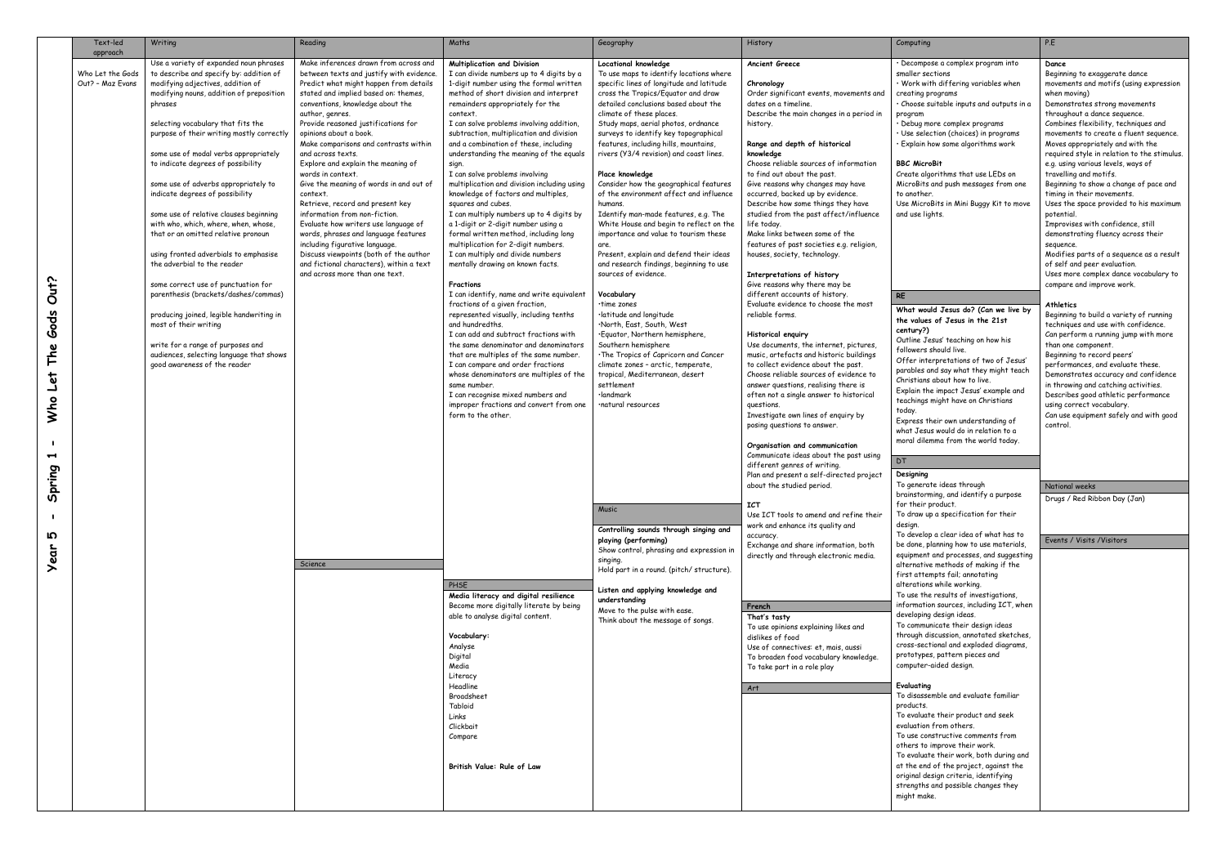|                                                      | Text-led<br>approach                 | Writing                                                                                                                                                                                                                                                                                                                                                                                                                                                                                                                                                                                                                                                                                                                                                                                                                                                                                          | Reading                                                                                                                                                                                                                                                                                                                                                                                                                                                                                                                                                                                                                                                                                                                                                                                    | Maths                                                                                                                                                                                                                                                                                                                                                                                                                                                                                                                                                                                                                                                                                                                                                                                                                                                                                                                                                                                                                                                                                                                                                                                                                                                                                  | Geography                                                                                                                                                                                                                                                                                                                                                                                                                                                                                                                                                                                                                                                                                                                                                                                                                                                                                                                                                                                                                                                                       | History                                                                                                                                                                                                                                                                                                                                                                                                                                                                                                                                                                                                                                                                                                                                                                                                                                                                                                                                                                                                                                                                                                                                                                                                                                                                                          | Computing                                                                                                                                                                                                                                                                                                                                                                                                                                                                                                                                                                                                                                                                                                                                                                                                                                                                                                                                                                                                                                                                             | P.E                                                                                                                                                                                                                                                       |
|------------------------------------------------------|--------------------------------------|--------------------------------------------------------------------------------------------------------------------------------------------------------------------------------------------------------------------------------------------------------------------------------------------------------------------------------------------------------------------------------------------------------------------------------------------------------------------------------------------------------------------------------------------------------------------------------------------------------------------------------------------------------------------------------------------------------------------------------------------------------------------------------------------------------------------------------------------------------------------------------------------------|--------------------------------------------------------------------------------------------------------------------------------------------------------------------------------------------------------------------------------------------------------------------------------------------------------------------------------------------------------------------------------------------------------------------------------------------------------------------------------------------------------------------------------------------------------------------------------------------------------------------------------------------------------------------------------------------------------------------------------------------------------------------------------------------|----------------------------------------------------------------------------------------------------------------------------------------------------------------------------------------------------------------------------------------------------------------------------------------------------------------------------------------------------------------------------------------------------------------------------------------------------------------------------------------------------------------------------------------------------------------------------------------------------------------------------------------------------------------------------------------------------------------------------------------------------------------------------------------------------------------------------------------------------------------------------------------------------------------------------------------------------------------------------------------------------------------------------------------------------------------------------------------------------------------------------------------------------------------------------------------------------------------------------------------------------------------------------------------|---------------------------------------------------------------------------------------------------------------------------------------------------------------------------------------------------------------------------------------------------------------------------------------------------------------------------------------------------------------------------------------------------------------------------------------------------------------------------------------------------------------------------------------------------------------------------------------------------------------------------------------------------------------------------------------------------------------------------------------------------------------------------------------------------------------------------------------------------------------------------------------------------------------------------------------------------------------------------------------------------------------------------------------------------------------------------------|--------------------------------------------------------------------------------------------------------------------------------------------------------------------------------------------------------------------------------------------------------------------------------------------------------------------------------------------------------------------------------------------------------------------------------------------------------------------------------------------------------------------------------------------------------------------------------------------------------------------------------------------------------------------------------------------------------------------------------------------------------------------------------------------------------------------------------------------------------------------------------------------------------------------------------------------------------------------------------------------------------------------------------------------------------------------------------------------------------------------------------------------------------------------------------------------------------------------------------------------------------------------------------------------------|---------------------------------------------------------------------------------------------------------------------------------------------------------------------------------------------------------------------------------------------------------------------------------------------------------------------------------------------------------------------------------------------------------------------------------------------------------------------------------------------------------------------------------------------------------------------------------------------------------------------------------------------------------------------------------------------------------------------------------------------------------------------------------------------------------------------------------------------------------------------------------------------------------------------------------------------------------------------------------------------------------------------------------------------------------------------------------------|-----------------------------------------------------------------------------------------------------------------------------------------------------------------------------------------------------------------------------------------------------------|
| Out?<br><b>Gods</b><br>The<br>Who Let<br>Ţ<br>Spring | Who Let the Gods<br>Out? - Maz Evans | Use a variety of expanded noun phrases<br>to describe and specify by: addition of<br>modifying adjectives, addition of<br>modifying nouns, addition of preposition<br>phrases<br>selecting vocabulary that fits the<br>purpose of their writing mostly correctly<br>some use of modal verbs appropriately<br>to indicate degrees of possibility<br>some use of adverbs appropriately to<br>indicate degrees of possibility<br>some use of relative clauses beginning<br>with who, which, where, when, whose,<br>that or an omitted relative pronoun<br>using fronted adverbials to emphasise<br>the adverbial to the reader<br>some correct use of punctuation for<br>parenthesis (brackets/dashes/commas)<br>producing joined, legible handwriting in<br>most of their writing<br>write for a range of purposes and<br>audiences, selecting language that shows<br>good awareness of the reader | Make inferences drawn from across and<br>between texts and justify with evidence.<br>Predict what might happen from details<br>stated and implied based on: themes,<br>conventions, knowledge about the<br>author, genres.<br>Provide reasoned justifications for<br>opinions about a book.<br>Make comparisons and contrasts within<br>and across texts.<br>Explore and explain the meaning of<br>words in context.<br>Give the meaning of words in and out of<br>context.<br>Retrieve, record and present key<br>information from non-fiction.<br>Evaluate how writers use language of<br>words, phrases and language features<br>including figurative language.<br>Discuss viewpoints (both of the author<br>and fictional characters), within a text<br>and across more than one text. | Multiplication and Division<br>I can divide numbers up to 4 digits by a<br>1-digit number using the formal written<br>method of short division and interpret<br>remainders appropriately for the<br>context.<br>I can solve problems involving addition,<br>subtraction, multiplication and division<br>and a combination of these, including<br>understanding the meaning of the equals<br>sign.<br>I can solve problems involving<br>multiplication and division including using<br>knowledge of factors and multiples,<br>squares and cubes.<br>I can multiply numbers up to 4 digits by<br>a 1-digit or 2-digit number using a<br>formal written method, including long<br>multiplication for 2-digit numbers.<br>I can multiply and divide numbers<br>mentally drawing on known facts.<br>Fractions<br>I can identify, name and write equivalent<br>fractions of a given fraction,<br>represented visually, including tenths<br>and hundredths.<br>I can add and subtract fractions with<br>the same denominator and denominators<br>that are multiples of the same number.<br>I can compare and order fractions<br>whose denominators are multiples of the<br>same number.<br>I can recognise mixed numbers and<br>improper fractions and convert from one<br>form to the other. | Locational knowledge<br>To use maps to identify locations where<br>specific lines of longitude and latitude<br>cross the Tropics/Equator and draw<br>detailed conclusions based about the<br>climate of these places.<br>Study maps, aerial photos, ordnance<br>surveys to identify key topographical<br>features, including hills, mountains,<br>rivers (Y3/4 revision) and coast lines.<br>Place knowledge<br>Consider how the geographical features<br>of the environment affect and influence<br>humans.<br>Identify man-made features, e.g. The<br>White House and begin to reflect on the<br>importance and value to tourism these<br>are.<br>Present, explain and defend their ideas<br>and research findings, beginning to use<br>sources of evidence.<br>Vocabulary<br>∙time zones<br>·latitude and longitude<br>North, East, South, West·<br>·Equator, Northern hemisphere,<br>Southern hemisphere<br>. The Tropics of Capricorn and Cancer<br>climate zones - arctic, temperate,<br>tropical, Mediterranean, desert<br>settlement<br>·landmark<br>•natural resources | <b>Ancient Greece</b><br>Chronology<br>Order significant events, movements and<br>dates on a timeline.<br>Describe the main changes in a period in<br>history.<br>Range and depth of historical<br>knowledge<br>Choose reliable sources of information<br>to find out about the past.<br>Give reasons why changes may have<br>occurred, backed up by evidence.<br>Describe how some things they have<br>studied from the past affect/influence<br>life today.<br>Make links between some of the<br>features of past societies e.g. religion,<br>houses, society, technology.<br>Interpretations of history<br>Give reasons why there may be<br>different accounts of history.<br>Evaluate evidence to choose the most<br>reliable forms.<br>Historical enquiry<br>Use documents, the internet, pictures,<br>music, artefacts and historic buildings<br>to collect evidence about the past.<br>Choose reliable sources of evidence to<br>answer questions, realising there is<br>often not a single answer to historical<br>questions.<br>Investigate own lines of enquiry by<br>posing questions to answer.<br>Organisation and communication<br>Communicate ideas about the past using<br>different genres of writing.<br>Plan and present a self-directed project<br>about the studied period. | · Decompose a complex program into<br>smaller sections<br>· Work with differing variables when<br>creating programs<br>· Choose suitable inputs and outputs in a<br>program<br>· Debug more complex programs<br>· Use selection (choices) in programs<br>· Explain how some algorithms work<br><b>BBC MicroBit</b><br>Create algorithms that use LEDs on<br>MicroBits and push messages from one<br>to another.<br>Use MicroBits in Mini Buggy Kit to move<br>and use lights.<br><b>RE</b><br>What would Jesus do? (Can we live by<br>the values of Jesus in the 21st<br>century?)<br>Outline Jesus' teaching on how his<br>followers should live.<br>Offer interpretations of two of Jesus'<br>parables and say what they might teach<br>Christians about how to live.<br>Explain the impact Jesus' example and<br>teachings might have on Christians<br>today.<br>Express their own understanding of<br>what Jesus would do in relation to a<br>moral dilemma from the world today.<br><b>DT</b><br>Designing<br>To generate ideas through<br>brainstorming, and identify a purpose | Da<br>Be<br>mo<br>wh<br>De<br>thi<br>Co<br>mo<br>Mo<br>red<br>e.g<br>tro<br>Be<br>tin<br>Us<br>bo.<br>Im<br>de<br>se<br>Mo<br>of<br>Us<br>COI<br>At<br>Be<br>ted<br>Ca<br>th<br>Be<br>per<br>De<br>in :<br>De<br>usi<br>Ca<br>COI<br>$\mathsf{N}$ a<br>Dr |
| Ю<br>Year                                            |                                      |                                                                                                                                                                                                                                                                                                                                                                                                                                                                                                                                                                                                                                                                                                                                                                                                                                                                                                  | Science                                                                                                                                                                                                                                                                                                                                                                                                                                                                                                                                                                                                                                                                                                                                                                                    | PHSE<br>Media literacy and digital resilience<br>Become more digitally literate by being<br>able to analyse digital content.<br>Vocabulary:<br>Analyse<br>Digital<br>Media<br>Literacy                                                                                                                                                                                                                                                                                                                                                                                                                                                                                                                                                                                                                                                                                                                                                                                                                                                                                                                                                                                                                                                                                                 | Music<br>Controlling sounds through singing and<br>playing (performing)<br>Show control, phrasing and expression in<br>singing.<br>Hold part in a round. (pitch/structure).<br>Listen and applying knowledge and<br>understanding<br>Move to the pulse with ease.<br>Think about the message of songs.                                                                                                                                                                                                                                                                                                                                                                                                                                                                                                                                                                                                                                                                                                                                                                          | <b>ICT</b><br>Use ICT tools to amend and refine their<br>work and enhance its quality and<br>accuracy.<br>Exchange and share information, both<br>directly and through electronic media.<br>French<br>That's tasty<br>To use opinions explaining likes and<br>dislikes of food<br>Use of connectives: et, mais, aussi<br>To broaden food vocabulary knowledge.<br>To take part in a role play                                                                                                                                                                                                                                                                                                                                                                                                                                                                                                                                                                                                                                                                                                                                                                                                                                                                                                    | for their product.<br>To draw up a specification for their<br>design.<br>To develop a clear idea of what has to<br>be done, planning how to use materials,<br>equipment and processes, and suggesting<br>alternative methods of making if the<br>first attempts fail; annotating<br>alterations while working.<br>To use the results of investigations,<br>information sources, including ICT, when<br>developing design ideas.<br>To communicate their design ideas<br>through discussion, annotated sketches,<br>cross-sectional and exploded diagrams,<br>prototypes, pattern pieces and<br>computer-aided design.                                                                                                                                                                                                                                                                                                                                                                                                                                                                 | Ev                                                                                                                                                                                                                                                        |
|                                                      |                                      |                                                                                                                                                                                                                                                                                                                                                                                                                                                                                                                                                                                                                                                                                                                                                                                                                                                                                                  |                                                                                                                                                                                                                                                                                                                                                                                                                                                                                                                                                                                                                                                                                                                                                                                            | Headline<br>Broadsheet<br>Tabloid<br>Links<br>Clickbait<br>Compare<br>British Value: Rule of Law                                                                                                                                                                                                                                                                                                                                                                                                                                                                                                                                                                                                                                                                                                                                                                                                                                                                                                                                                                                                                                                                                                                                                                                       |                                                                                                                                                                                                                                                                                                                                                                                                                                                                                                                                                                                                                                                                                                                                                                                                                                                                                                                                                                                                                                                                                 | Art                                                                                                                                                                                                                                                                                                                                                                                                                                                                                                                                                                                                                                                                                                                                                                                                                                                                                                                                                                                                                                                                                                                                                                                                                                                                                              | Evaluating<br>To disassemble and evaluate familiar<br>products.<br>To evaluate their product and seek<br>evaluation from others.<br>To use constructive comments from<br>others to improve their work.<br>To evaluate their work, both during and<br>at the end of the project, against the<br>original design criteria, identifying<br>strengths and possible changes they<br>might make.                                                                                                                                                                                                                                                                                                                                                                                                                                                                                                                                                                                                                                                                                            |                                                                                                                                                                                                                                                           |

# complex program into

- ffering variables when  $\mathsf{m}\mathsf{s}$
- ble inputs and outputs in a
- omplex programs (choices) in programs ome algorithms work

- ms that use LEDs on oush messages from one
- in Mini Buggy Kit to move

**Dance**

- Beginning to exaggerate dance movements and motifs (using expression when moving) Demonstrates strong movements throughout a dance sequence. Combines flexibility, techniques and movements to create a fluent sequence. Moves appropriately and with the required style in relation to the stimulus. e.g. using various levels, ways of travelling and motifs. Beginning to show a change of pace and timing in their movements. Uses the space provided to his maximum potential. Improvises with confidence, still demonstrating fluency across their
- sequence.
- Modifies parts of a sequence as a result of self and peer evaluation. Uses more complex dance vocabulary to compare and improve work.

## **Athletics**

Beginning to build a variety of running techniques and use with confidence. Can perform a running jump with more than one component. Beginning to record peers' performances, and evaluate these. Demonstrates accuracy and confidence in throwing and catching activities. Describes good athletic performance using correct vocabulary. Can use equipment safely and with good control.

# **What would Jesus do? (Can we live by the values of Jesus in the 21st**

- teaching on how his f live.
- tations of two of Jesus' y what they might teach  $\frac{1}{2}$  how to live.
- act Jesus' example and thave on Christians
- wn understanding of ld do in relation to a from the world today.

- eas through and identify a purpose  $r +$
- pecification for their
- ear idea of what has to ng how to use materials,  $\tilde{\text{processes}}$ , and suggesting .<br>thods of making if the fail; annotating
- le working.
- Its of investigations,  $\frac{1}{2}$ including ICT, when gn ideas.
- ,<br>z their design ideas sion, annotated sketches, and exploded diagrams, tern pieces and design.

- t and evaluate familiar
- ir product and seek .<br>others.
- ctive comments from ove their work.
- tir work, both during and he project, against the oriteria, identifying possible changes they
- 

### National weeks

Drugs / Red Ribbon Day (Jan)

# Events / Visits /Visitors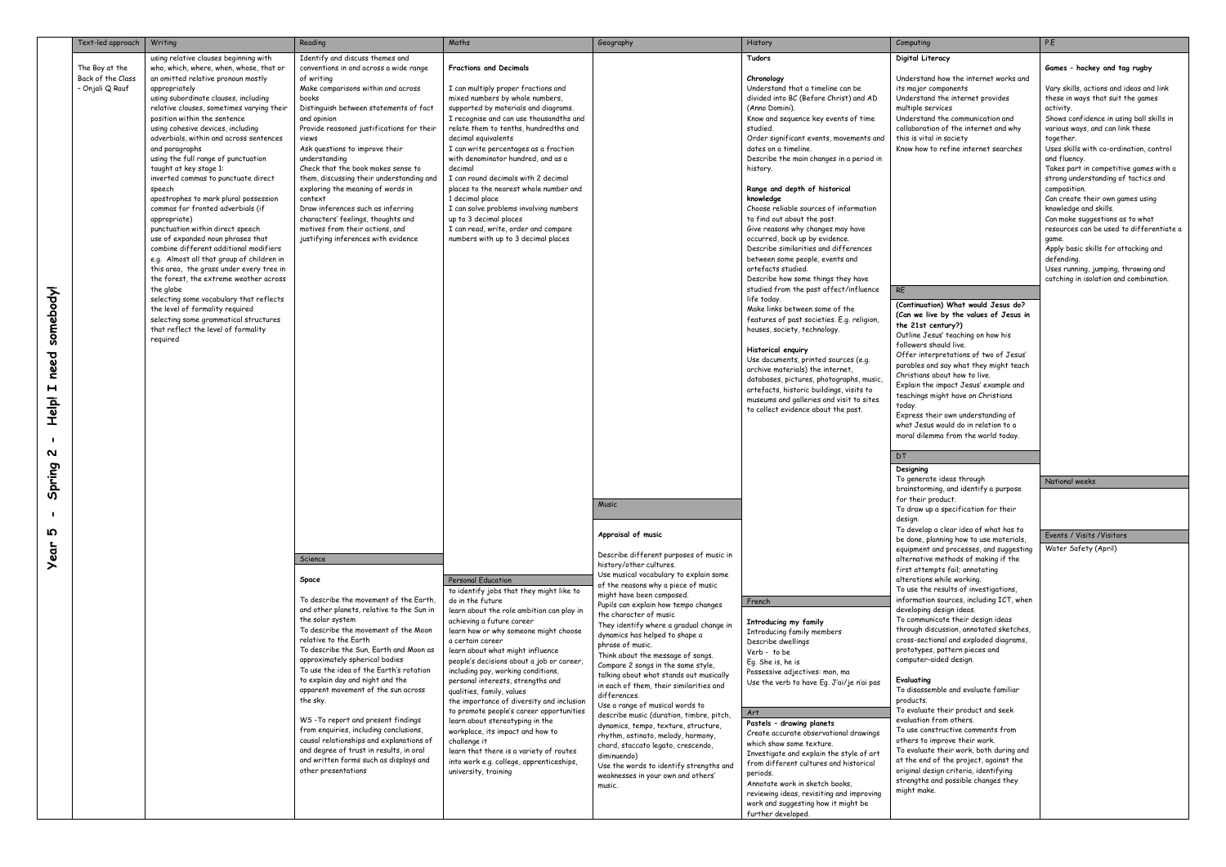|              | Text-led approach | Writing                                                                           | Reading                                                                             | Maths                                                                           | Geography                                                                     | History                                                                     | Computing                                                                          | P.E                                                                           |
|--------------|-------------------|-----------------------------------------------------------------------------------|-------------------------------------------------------------------------------------|---------------------------------------------------------------------------------|-------------------------------------------------------------------------------|-----------------------------------------------------------------------------|------------------------------------------------------------------------------------|-------------------------------------------------------------------------------|
|              |                   | using relative clauses beginning with                                             | Identify and discuss themes and                                                     |                                                                                 |                                                                               | Tudors                                                                      | Digital Literacy                                                                   |                                                                               |
|              | The Boy at the    | who, which, where, when, whose, that or                                           | conventions in and across a wide range                                              | <b>Fractions and Decimals</b>                                                   |                                                                               |                                                                             |                                                                                    | Games - hockey and tag rugby                                                  |
|              | Back of the Class | an omitted relative pronoun mostly                                                | of writing                                                                          |                                                                                 |                                                                               | Chronology                                                                  | Understand how the internet works and                                              |                                                                               |
|              | - Onjali Q Rauf   | appropriately                                                                     | Make comparisons within and across                                                  | I can multiply proper fractions and                                             |                                                                               | Understand that a timeline can be                                           | its major components                                                               | Vary skills, actions and ideas and link                                       |
|              |                   | using subordinate clauses, including<br>relative clauses, sometimes varying their | books<br>Distinguish between statements of fact                                     | mixed numbers by whole numbers,<br>supported by materials and diagrams.         |                                                                               | divided into BC (Before Christ) and AD<br>(Anno Domini).                    | Understand the internet provides<br>multiple services                              | these in ways that suit the games<br>activity.                                |
|              |                   | position within the sentence                                                      | and opinion                                                                         | I recognise and can use thousandths and                                         |                                                                               | Know and sequence key events of time                                        | Understand the communication and                                                   | Shows confidence in using ball skills in                                      |
|              |                   | using cohesive devices, including                                                 | Provide reasoned justifications for their                                           | relate them to tenths, hundredths and                                           |                                                                               | studied.                                                                    | collaboration of the internet and why                                              | various ways, and can link these                                              |
|              |                   | adverbials, within and across sentences                                           | views                                                                               | decimal equivalents                                                             |                                                                               | Order significant events, movements and                                     | this is vital in society                                                           | together.                                                                     |
|              |                   | and paragraphs                                                                    | Ask questions to improve their                                                      | I can write percentages as a fraction                                           |                                                                               | dates on a timeline.                                                        | Know how to refine internet searches                                               | Uses skills with co-ordination, control                                       |
|              |                   | using the full range of punctuation                                               | understanding                                                                       | with denominator hundred, and as a                                              |                                                                               | Describe the main changes in a period in                                    |                                                                                    | and fluency.                                                                  |
|              |                   | taught at key stage 1:<br>inverted commas to punctuate direct                     | Check that the book makes sense to<br>them, discussing their understanding and      | decimal<br>I can round decimals with 2 decimal                                  |                                                                               | history.                                                                    |                                                                                    | Takes part in competitive games with a<br>strong understanding of tactics and |
|              |                   | speech                                                                            | exploring the meaning of words in                                                   | places to the nearest whole number and                                          |                                                                               | Range and depth of historical                                               |                                                                                    | composition.                                                                  |
|              |                   | apostrophes to mark plural possession                                             | context                                                                             | 1 decimal place                                                                 |                                                                               | knowledge                                                                   |                                                                                    | Can create their own games using                                              |
|              |                   | commas for fronted adverbials (if                                                 | Draw inferences such as inferring                                                   | I can solve problems involving numbers                                          |                                                                               | Choose reliable sources of information                                      |                                                                                    | knowledge and skills.                                                         |
|              |                   | appropriate)                                                                      | characters' feelings, thoughts and                                                  | up to 3 decimal places                                                          |                                                                               | to find out about the past.                                                 |                                                                                    | Can make suggestions as to what                                               |
|              |                   | punctuation within direct speech<br>use of expanded noun phrases that             | motives from their actions, and<br>justifying inferences with evidence              | I can read, write, order and compare<br>numbers with up to 3 decimal places     |                                                                               | Give reasons why changes may have<br>occurred, back up by evidence.         |                                                                                    | resources can be used to differentiate a<br>game.                             |
|              |                   | combine different additional modifiers                                            |                                                                                     |                                                                                 |                                                                               | Describe similarities and differences                                       |                                                                                    | Apply basic skills for attacking and                                          |
|              |                   | e.g. Almost all that group of children in                                         |                                                                                     |                                                                                 |                                                                               | between some people, events and                                             |                                                                                    | defending.                                                                    |
|              |                   | this area, the grass under every tree in                                          |                                                                                     |                                                                                 |                                                                               | artefacts studied.                                                          |                                                                                    | Uses running, jumping, throwing and                                           |
|              |                   | the forest, the extreme weather across                                            |                                                                                     |                                                                                 |                                                                               | Describe how some things they have                                          |                                                                                    | catching in isolation and combination.                                        |
|              |                   | the globe                                                                         |                                                                                     |                                                                                 |                                                                               | studied from the past affect/influence<br>life today.                       | <b>RE</b>                                                                          |                                                                               |
|              |                   | selecting some vocabulary that reflects<br>the level of formality required        |                                                                                     |                                                                                 |                                                                               | Make links between some of the                                              | (Continuation) What would Jesus do?                                                |                                                                               |
|              |                   | selecting some grammatical structures                                             |                                                                                     |                                                                                 |                                                                               | features of past societies. E.g. religion                                   | (Can we live by the values of Jesus in                                             |                                                                               |
| somebody!    |                   | that reflect the level of formality                                               |                                                                                     |                                                                                 |                                                                               | houses, society, technology.                                                | the 21st century?)<br>Outline Jesus' teaching on how his                           |                                                                               |
|              |                   | required                                                                          |                                                                                     |                                                                                 |                                                                               |                                                                             | followers should live.                                                             |                                                                               |
|              |                   |                                                                                   |                                                                                     |                                                                                 |                                                                               | Historical enguiry                                                          | Offer interpretations of two of Jesus'                                             |                                                                               |
| need         |                   |                                                                                   |                                                                                     |                                                                                 |                                                                               | Use documents, printed sources (e.g.<br>archive materials) the internet,    | parables and say what they might teach                                             |                                                                               |
|              |                   |                                                                                   |                                                                                     |                                                                                 |                                                                               | databases, pictures, photographs, music,                                    | Christians about how to live.                                                      |                                                                               |
| $\mathbf{H}$ |                   |                                                                                   |                                                                                     |                                                                                 |                                                                               | artefacts, historic buildings, visits to                                    | Explain the impact Jesus' example and                                              |                                                                               |
| Help!        |                   |                                                                                   |                                                                                     |                                                                                 |                                                                               | museums and galleries and visit to sites                                    | teachings might have on Christians<br>today.                                       |                                                                               |
|              |                   |                                                                                   |                                                                                     |                                                                                 |                                                                               | to collect evidence about the past.                                         | Express their own understanding of                                                 |                                                                               |
|              |                   |                                                                                   |                                                                                     |                                                                                 |                                                                               |                                                                             | what Jesus would do in relation to a                                               |                                                                               |
|              |                   |                                                                                   |                                                                                     |                                                                                 |                                                                               |                                                                             | moral dilemma from the world today.                                                |                                                                               |
|              |                   |                                                                                   |                                                                                     |                                                                                 |                                                                               |                                                                             |                                                                                    |                                                                               |
| N            |                   |                                                                                   |                                                                                     |                                                                                 |                                                                               |                                                                             | <b>DT</b>                                                                          |                                                                               |
| Spring       |                   |                                                                                   |                                                                                     |                                                                                 |                                                                               |                                                                             | Designing                                                                          |                                                                               |
|              |                   |                                                                                   |                                                                                     |                                                                                 |                                                                               |                                                                             | To generate ideas through                                                          | National weeks                                                                |
|              |                   |                                                                                   |                                                                                     |                                                                                 |                                                                               |                                                                             | brainstorming, and identify a purpose<br>for their product.                        |                                                                               |
|              |                   |                                                                                   |                                                                                     |                                                                                 | Music                                                                         |                                                                             | To draw up a specification for their                                               |                                                                               |
|              |                   |                                                                                   |                                                                                     |                                                                                 |                                                                               |                                                                             | design.                                                                            |                                                                               |
| <u>က</u>     |                   |                                                                                   |                                                                                     |                                                                                 | Appraisal of music                                                            |                                                                             | To develop a clear idea of what has to                                             | Events / Visits / Visitors                                                    |
|              |                   |                                                                                   |                                                                                     |                                                                                 |                                                                               |                                                                             | be done, planning how to use materials,<br>equipment and processes, and suggesting | Water Safety (April)                                                          |
| <b>Year</b>  |                   |                                                                                   | Science                                                                             |                                                                                 | Describe different purposes of music in                                       |                                                                             | alternative methods of making if the                                               |                                                                               |
|              |                   |                                                                                   |                                                                                     |                                                                                 | history/other cultures.                                                       |                                                                             | first attempts fail; annotating                                                    |                                                                               |
|              |                   |                                                                                   | Space                                                                               | Personal Education                                                              | Use musical vocabulary to explain some<br>of the reasons why a piece of music |                                                                             | alterations while working.                                                         |                                                                               |
|              |                   |                                                                                   |                                                                                     | to identify jobs that they might like to                                        | might have been composed.                                                     |                                                                             | To use the results of investigations,                                              |                                                                               |
|              |                   |                                                                                   | To describe the movement of the Earth.<br>and other planets, relative to the Sun in | do in the future<br>learn about the role ambition can play in                   | Pupils can explain how tempo changes                                          | French                                                                      | information sources, including ICT, when<br>developing design ideas.               |                                                                               |
|              |                   |                                                                                   | the solar system                                                                    | achieving a future career                                                       | the character of music                                                        | Introducing my family                                                       | To communicate their design ideas                                                  |                                                                               |
|              |                   |                                                                                   | To describe the movement of the Moon                                                | learn how or why someone might choose                                           | They identify where a gradual change in<br>dynamics has helped to shape a     | Introducing family members                                                  | through discussion, annotated sketches,                                            |                                                                               |
|              |                   |                                                                                   | relative to the Earth                                                               | a certain career                                                                | phrase of music.                                                              | Describe dwellings                                                          | cross-sectional and exploded diagrams,                                             |                                                                               |
|              |                   |                                                                                   | To describe the Sun, Earth and Moon as                                              | learn about what might influence                                                | Think about the message of songs.                                             | Verb - to be                                                                | prototypes, pattern pieces and                                                     |                                                                               |
|              |                   |                                                                                   | approximately spherical bodies<br>To use the idea of the Earth's rotation           | people's decisions about a job or career,<br>including pay, working conditions, | Compare 2 songs in the same style,                                            | Eg. She is, he is                                                           | computer-aided design.                                                             |                                                                               |
|              |                   |                                                                                   | to explain day and night and the                                                    | personal interests, strengths and                                               | talking about what stands out musically                                       | Possessive adjectives: mon, ma<br>Use the verb to have Eg. J'ai/je n'ai pas | Evaluating                                                                         |                                                                               |
|              |                   |                                                                                   | apparent movement of the sun across                                                 | qualities, family, values                                                       | in each of them, their similarities and<br>differences.                       |                                                                             | To disassemble and evaluate familiar                                               |                                                                               |
|              |                   |                                                                                   | the sky.                                                                            | the importance of diversity and inclusion                                       | Use a range of musical words to                                               |                                                                             | products.                                                                          |                                                                               |
|              |                   |                                                                                   |                                                                                     | to promote people's career opportunities                                        | describe music (duration, timbre, pitch,                                      | Art                                                                         | To evaluate their product and seek                                                 |                                                                               |
|              |                   |                                                                                   | WS-To report and present findings<br>from enquiries, including conclusions,         | learn about stereotyping in the                                                 | dynamics, tempo, texture, structure,                                          | Pastels - drawing planets                                                   | evaluation from others.<br>To use constructive comments from                       |                                                                               |
|              |                   |                                                                                   | causal relationships and explanations of                                            | workplace, its impact and how to<br>challenge it                                | rhythm, ostinato, melody, harmony,                                            | Create accurate observational drawings                                      | others to improve their work.                                                      |                                                                               |
|              |                   |                                                                                   | and degree of trust in results, in oral                                             | learn that there is a variety of routes                                         | chord, staccato legato, crescendo,                                            | which show some texture.<br>Investigate and explain the style of art        | To evaluate their work, both during and                                            |                                                                               |
|              |                   |                                                                                   | and written forms such as displays and                                              | into work e.g. college, apprenticeships,                                        | diminuendo)<br>Use the words to identify strengths and                        | from different cultures and historical                                      | at the end of the project, against the                                             |                                                                               |
|              |                   |                                                                                   | other presentations                                                                 | university, training                                                            | weaknesses in your own and others'                                            | periods.                                                                    | original design criteria, identifying                                              |                                                                               |
|              |                   |                                                                                   |                                                                                     |                                                                                 | music.                                                                        | Annotate work in sketch books,                                              | strengths and possible changes they<br>might make.                                 |                                                                               |
|              |                   |                                                                                   |                                                                                     |                                                                                 |                                                                               | reviewing ideas, revisiting and improving                                   |                                                                                    |                                                                               |
|              |                   |                                                                                   |                                                                                     |                                                                                 |                                                                               | work and suggesting how it might be<br>further developed.                   |                                                                                    |                                                                               |
|              |                   |                                                                                   |                                                                                     |                                                                                 |                                                                               |                                                                             |                                                                                    |                                                                               |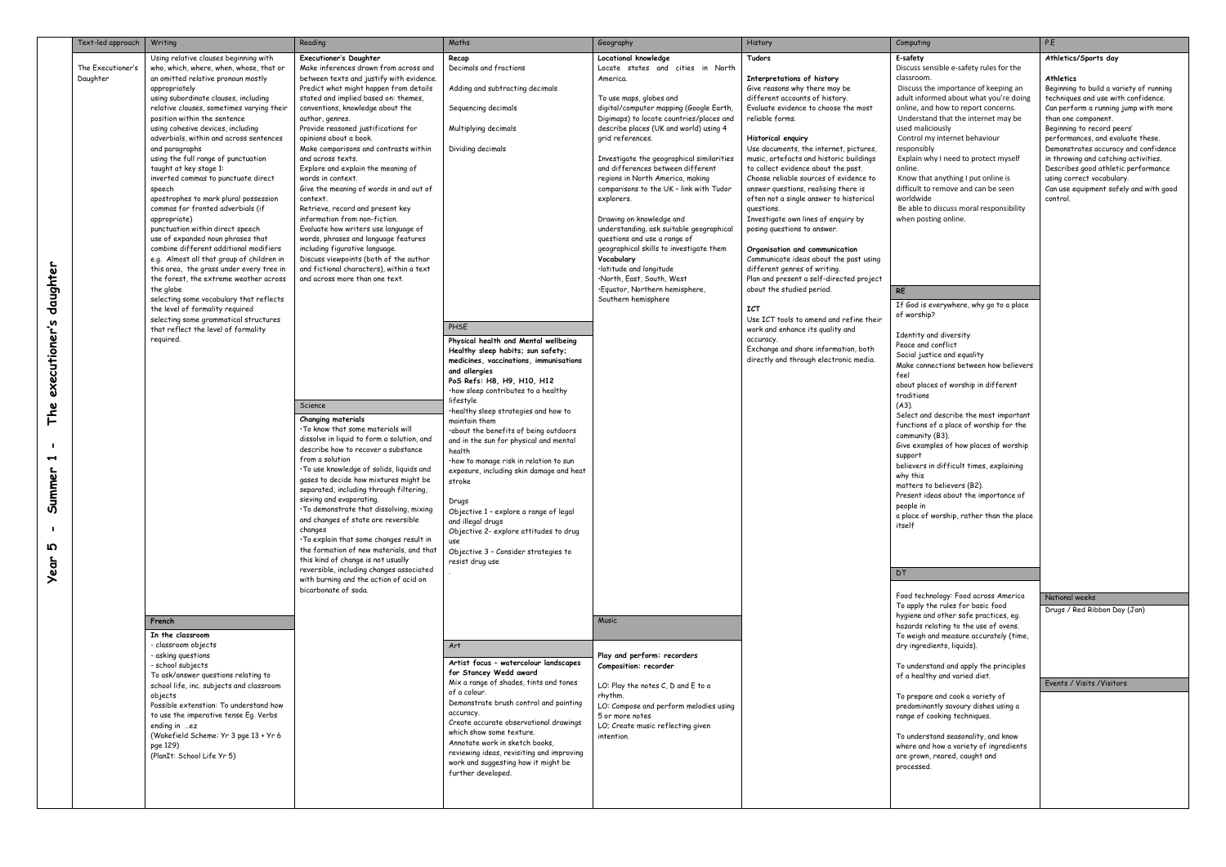|                                                                                    | Text-led approach             | Writing                                                                                                                                                                                                                                                                                                                                                                                                                                                                                                                                                                                                                                                                                                                                                                                                                                                                                                                                                                                                                      | Reading                                                                                                                                                                                                                                                                                                                                                                                                                                                                                                                                                                                                                                                                                                                                                                                                                     | Maths                                                                                                                                                                                                                                                                                                                                                                                                                                                                                                                                                                                                                                                    | Geography                                                                                                                                                                                                                                                                                                                                                                                                                                                                                                                                                                                                                                                                                                              | History                                                                                                                                                                                                                                                                                                                                                                                                                                                                                                                                                                                                                                                                                                                                                                                                                                            | Computing                                                                                                                                                                                                                                                                                                                                                                                                                                                                                                                                                                                                                                                          | P.E                                                                                  |
|------------------------------------------------------------------------------------|-------------------------------|------------------------------------------------------------------------------------------------------------------------------------------------------------------------------------------------------------------------------------------------------------------------------------------------------------------------------------------------------------------------------------------------------------------------------------------------------------------------------------------------------------------------------------------------------------------------------------------------------------------------------------------------------------------------------------------------------------------------------------------------------------------------------------------------------------------------------------------------------------------------------------------------------------------------------------------------------------------------------------------------------------------------------|-----------------------------------------------------------------------------------------------------------------------------------------------------------------------------------------------------------------------------------------------------------------------------------------------------------------------------------------------------------------------------------------------------------------------------------------------------------------------------------------------------------------------------------------------------------------------------------------------------------------------------------------------------------------------------------------------------------------------------------------------------------------------------------------------------------------------------|----------------------------------------------------------------------------------------------------------------------------------------------------------------------------------------------------------------------------------------------------------------------------------------------------------------------------------------------------------------------------------------------------------------------------------------------------------------------------------------------------------------------------------------------------------------------------------------------------------------------------------------------------------|------------------------------------------------------------------------------------------------------------------------------------------------------------------------------------------------------------------------------------------------------------------------------------------------------------------------------------------------------------------------------------------------------------------------------------------------------------------------------------------------------------------------------------------------------------------------------------------------------------------------------------------------------------------------------------------------------------------------|----------------------------------------------------------------------------------------------------------------------------------------------------------------------------------------------------------------------------------------------------------------------------------------------------------------------------------------------------------------------------------------------------------------------------------------------------------------------------------------------------------------------------------------------------------------------------------------------------------------------------------------------------------------------------------------------------------------------------------------------------------------------------------------------------------------------------------------------------|--------------------------------------------------------------------------------------------------------------------------------------------------------------------------------------------------------------------------------------------------------------------------------------------------------------------------------------------------------------------------------------------------------------------------------------------------------------------------------------------------------------------------------------------------------------------------------------------------------------------------------------------------------------------|--------------------------------------------------------------------------------------|
| daughter                                                                           | The Executioner's<br>Daughter | Using relative clauses beginning with<br>who, which, where, when, whose, that or<br>an omitted relative pronoun mostly<br>appropriately<br>using subordinate clauses, including<br>relative clauses, sometimes varying their<br>position within the sentence<br>using cohesive devices, including<br>adverbials, within and across sentences<br>and paragraphs<br>using the full range of punctuation<br>taught at key stage 1:<br>inverted commas to punctuate direct<br>speech<br>apostrophes to mark plural possession<br>commas for fronted adverbials (if<br>appropriate)<br>punctuation within direct speech<br>use of expanded noun phrases that<br>combine different additional modifiers<br>e.g. Almost all that group of children in<br>this area, the grass under every tree in<br>the forest, the extreme weather across<br>the globe<br>selecting some vocabulary that reflects<br>the level of formality required<br>selecting some grammatical structures<br>that reflect the level of formality<br>required. | <b>Executioner's Daughter</b><br>Make inferences drawn from across and<br>between texts and justify with evidence.<br>Predict what might happen from details<br>stated and implied based on: themes,<br>conventions, knowledge about the<br>author, genres.<br>Provide reasoned justifications for<br>opinions about a book.<br>Make comparisons and contrasts within<br>and across texts.<br>Explore and explain the meaning of<br>words in context.<br>Give the meaning of words in and out of<br>context.<br>Retrieve, record and present key<br>information from non-fiction.<br>Evaluate how writers use language of<br>words, phrases and language features<br>including figurative language.<br>Discuss viewpoints (both of the author<br>and fictional characters), within a text<br>and across more than one text. | Recap<br>Decimals and fractions<br>Adding and subtracting decimals<br>Sequencing decimals<br>Multiplying decimals<br>Dividing decimals<br>PHSE                                                                                                                                                                                                                                                                                                                                                                                                                                                                                                           | Locational knowledge<br>Locate states and cities in North<br>America.<br>To use maps, globes and<br>digital/computer mapping (Google Earth,<br>Digimaps) to locate countries/places and<br>describe places (UK and world) using 4<br>grid references.<br>Investigate the geographical similarities<br>and differences between different<br>regions in North America, making<br>comparisons to the UK - link with Tudor<br>explorers.<br>Drawing on knowledge and<br>understanding, ask suitable geographical<br>questions and use a range of<br>geographical skills to investigate them<br>Vocabulary<br>·latitude and longitude<br>North, East, South, West•<br>·Equator, Northern hemisphere,<br>Southern hemisphere | <b>Tudors</b><br>Interpretations of history<br>Give reasons why there may be<br>different accounts of history.<br>Evaluate evidence to choose the most<br>reliable forms.<br><b>Historical enguiry</b><br>Use documents, the internet, pictures,<br>music, artefacts and historic buildings<br>to collect evidence about the past.<br>Choose reliable sources of evidence to<br>answer questions, realising there is<br>often not a single answer to historical<br>questions.<br>Investigate own lines of enquiry by<br>posing questions to answer.<br>Organisation and communication<br>Communicate ideas about the past using<br>different genres of writing.<br>Plan and present a self-directed project<br>about the studied period.<br><b>ICT</b><br>Use ICT tools to amend and refine their<br>work and enhance its quality and<br>accuracy. | E-safety<br>Discuss sensible e-safety rules for the<br>classroom.<br>Discuss the importance of keeping an<br>adult informed about what you're doing<br>online, and how to report concerns.<br>Understand that the internet may be<br>used maliciously<br>Control my internet behaviour<br>responsibly<br>Explain why I need to protect myself<br>online.<br>Know that anything I put online is<br>difficult to remove and can be seen<br>worldwide<br>Be able to discuss moral responsibility<br>when posting online.<br><b>RE</b><br>If God is everywhere, why go to a place<br>of worship?<br>Identity and diversity                                             | At<br>At<br>Be<br>te<br>Ca<br>th<br>Be<br>pe<br>De<br>in :<br>De<br>usi<br>Ca<br>COI |
| executioner's<br>The<br>$\blacktriangleright$<br>Summer<br>- 1<br>Ю<br><b>Year</b> |                               |                                                                                                                                                                                                                                                                                                                                                                                                                                                                                                                                                                                                                                                                                                                                                                                                                                                                                                                                                                                                                              | Science<br>Changing materials<br>. To know that some materials will<br>dissolve in liquid to form a solution, and<br>describe how to recover a substance<br>from a solution<br>. To use knowledge of solids, liquids and<br>gases to decide how mixtures might be<br>separated, including through filtering,<br>sieving and evaporating.<br>. To demonstrate that dissolving, mixing<br>and changes of state are reversible<br>changes<br>. To explain that some changes result in<br>the formation of new materials, and that<br>this kind of change is not usually<br>reversible, including changes associated<br>with burning and the action of acid on<br>bicarbonate of soda.                                                                                                                                          | Physical health and Mental wellbeing<br>Healthy sleep habits; sun safety;<br>medicines, vaccinations, immunisations<br>and allergies<br>PoS Refs: H8, H9, H10, H12<br>·how sleep contributes to a healthy<br>lifestyle<br>·healthy sleep strategies and how to<br>maintain them<br>.about the benefits of being outdoors<br>and in the sun for physical and mental<br>health<br>how to manage risk in relation to sun<br>exposure, including skin damage and heat<br>stroke<br>Drugs<br>Objective 1 - explore a range of legal<br>and illegal drugs<br>Objective 2- explore attitudes to drug<br>Objective 3 - Consider strategies to<br>resist drug use |                                                                                                                                                                                                                                                                                                                                                                                                                                                                                                                                                                                                                                                                                                                        | Exchange and share information, both<br>directly and through electronic media.                                                                                                                                                                                                                                                                                                                                                                                                                                                                                                                                                                                                                                                                                                                                                                     | Peace and conflict<br>Social justice and equality<br>Make connections between how believers<br>feel<br>about places of worship in different<br>traditions<br>$(A3)$ .<br>Select and describe the most important<br>functions of a place of worship for the<br>community (B3).<br>Give examples of how places of worship<br>support<br>believers in difficult times, explaining<br>why this<br>matters to believers (B2).<br>Present ideas about the importance of<br>people in<br>a place of worship, rather than the place<br>itself<br>DT.<br>Food technology: Food across America<br>To apply the rules for basic food<br>hygiene and other safe practices, eg. | $\frac{N}{2}$<br>Dr                                                                  |
|                                                                                    |                               | French<br>In the classroom<br>- classroom objects<br>- asking questions<br>- school subjects<br>To ask/answer questions relating to<br>school life, inc. subjects and classroom<br>objects<br>Possible extenstion: To understand how<br>to use the imperative tense Eg. Verbs<br>ending in ez<br>(Wakefield Scheme: Yr 3 pge 13 + Yr 6<br>pge 129)<br>(PlanIt: School Life Yr 5)                                                                                                                                                                                                                                                                                                                                                                                                                                                                                                                                                                                                                                             |                                                                                                                                                                                                                                                                                                                                                                                                                                                                                                                                                                                                                                                                                                                                                                                                                             | Art<br>Artist focus - watercolour landscapes<br>for Stancey Wedd award<br>Mix a range of shades, tints and tones<br>of a colour.<br>Demonstrate brush control and painting<br>accuracy.<br>Create accurate observational drawings<br>which show some texture.<br>Annotate work in sketch books,<br>reviewing ideas, revisiting and improving<br>work and suggesting how it might be<br>further developed.                                                                                                                                                                                                                                                | <b>Music</b><br>Play and perform: recorders<br>Composition: recorder<br>LO: Play the notes $C$ , $D$ and $E$ to a<br>rhythm.<br>LO: Compose and perform melodies using<br>5 or more notes<br>LO; Create music reflecting given<br>intention.                                                                                                                                                                                                                                                                                                                                                                                                                                                                           |                                                                                                                                                                                                                                                                                                                                                                                                                                                                                                                                                                                                                                                                                                                                                                                                                                                    | hazards relating to the use of ovens.<br>To weigh and measure accurately (time,<br>dry ingredients, liquids).<br>To understand and apply the principles<br>of a healthy and varied diet.<br>To prepare and cook a variety of<br>predominantly savoury dishes using a<br>range of cooking techniques.<br>To understand seasonality, and know<br>where and how a variety of ingredients<br>are grown, reared, caught and<br>processed.                                                                                                                                                                                                                               | Ev                                                                                   |

| E-safety<br>Discuss sensible e-safety rules for the                                                                                                                                                                                                                                                                                                                                                                                                                                                                                                          | Athletics/Sports day                                                                                                                                                                                                                                                                                                                                                                                                                    |
|--------------------------------------------------------------------------------------------------------------------------------------------------------------------------------------------------------------------------------------------------------------------------------------------------------------------------------------------------------------------------------------------------------------------------------------------------------------------------------------------------------------------------------------------------------------|-----------------------------------------------------------------------------------------------------------------------------------------------------------------------------------------------------------------------------------------------------------------------------------------------------------------------------------------------------------------------------------------------------------------------------------------|
| classroom.<br>Discuss the importance of keeping an<br>adult informed about what you're doing<br>online, and how to report concerns.<br>Understand that the internet may be<br>used maliciously<br>Control my internet behaviour<br>responsibly<br>Explain why I need to protect myself<br>online.<br>Know that anything I put online is<br>difficult to remove and can be seen<br>worldwide<br>Be able to discuss moral responsibility<br>when posting online.                                                                                               | Athletics<br>Beginning to build a variety of running<br>techniques and use with confidence.<br>Can perform a running jump with more<br>than one component.<br>Beginning to record peers'<br>performances, and evaluate these.<br>Demonstrates accuracy and confidence<br>in throwing and catching activities.<br>Describes good athletic performance<br>using correct vocabulary.<br>Can use equipment safely and with good<br>control. |
| RE                                                                                                                                                                                                                                                                                                                                                                                                                                                                                                                                                           |                                                                                                                                                                                                                                                                                                                                                                                                                                         |
| If God is everywhere, why go to a place<br>of worship?                                                                                                                                                                                                                                                                                                                                                                                                                                                                                                       |                                                                                                                                                                                                                                                                                                                                                                                                                                         |
| Identity and diversity<br>Peace and conflict<br>Social justice and equality<br>Make connections between how believers<br>feel<br>about places of worship in different<br>traditions<br>(A3).<br>Select and describe the most important<br>functions of a place of worship for the<br>community (B3).<br>Give examples of how places of worship<br>support<br>believers in difficult times, explaining<br>why this<br>matters to believers (B2).<br>Present ideas about the importance of<br>people in<br>a place of worship, rather than the place<br>itself |                                                                                                                                                                                                                                                                                                                                                                                                                                         |
| DT                                                                                                                                                                                                                                                                                                                                                                                                                                                                                                                                                           |                                                                                                                                                                                                                                                                                                                                                                                                                                         |
| Food technology: Food across America<br>To apply the rules for basic food                                                                                                                                                                                                                                                                                                                                                                                                                                                                                    | <b>National weeks</b>                                                                                                                                                                                                                                                                                                                                                                                                                   |
| hygiene and other safe practices, eg.<br>hazards relating to the use of ovens.<br>To weigh and measure accurately (time,<br>dry ingredients, liguids).                                                                                                                                                                                                                                                                                                                                                                                                       | Drugs / Red Ribbon Day (Jan)                                                                                                                                                                                                                                                                                                                                                                                                            |
| To understand and apply the principles<br>of a healthy and varied diet.                                                                                                                                                                                                                                                                                                                                                                                                                                                                                      | Events / Visits / Visitors                                                                                                                                                                                                                                                                                                                                                                                                              |
| To prepare and cook a variety of<br>predominantly savoury dishes using a<br>range of cooking techniques.                                                                                                                                                                                                                                                                                                                                                                                                                                                     |                                                                                                                                                                                                                                                                                                                                                                                                                                         |
| To understand seasonality, and know<br>where and how a variety of ingredients<br>are grown, reared, caught and<br>processed.                                                                                                                                                                                                                                                                                                                                                                                                                                 |                                                                                                                                                                                                                                                                                                                                                                                                                                         |